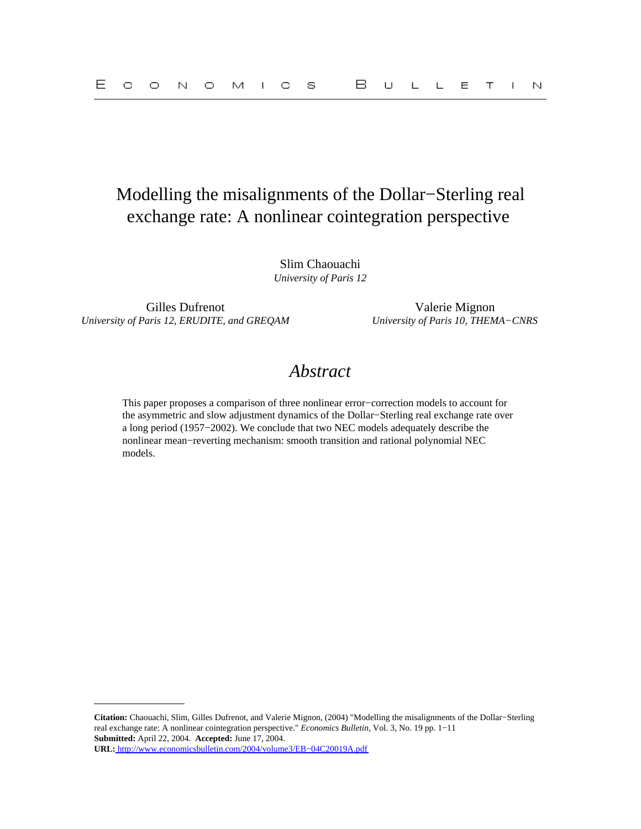# Modelling the misalignments of the Dollar−Sterling real exchange rate: A nonlinear cointegration perspective

Slim Chaouachi *University of Paris 12*

Gilles Dufrenot Valerie Mignon *University of Paris 12, ERUDITE, and GREQAM University of Paris 10, THEMA−CNRS*

## *Abstract*

This paper proposes a comparison of three nonlinear error−correction models to account for the asymmetric and slow adjustment dynamics of the Dollar−Sterling real exchange rate over a long period (1957−2002). We conclude that two NEC models adequately describe the nonlinear mean−reverting mechanism: smooth transition and rational polynomial NEC models.

**Citation:** Chaouachi, Slim, Gilles Dufrenot, and Valerie Mignon, (2004) "Modelling the misalignments of the Dollar−Sterling real exchange rate: A nonlinear cointegration perspective." *Economics Bulletin,* Vol. 3, No. 19 pp. 1−11 **Submitted:** April 22, 2004. **Accepted:** June 17, 2004. **URL:** [http://www.economicsbulletin.com/2004/volume3/EB−04C20019A.pdf](http://www.economicsbulletin.com/2004/volume3/EB-04C20019A.pdf)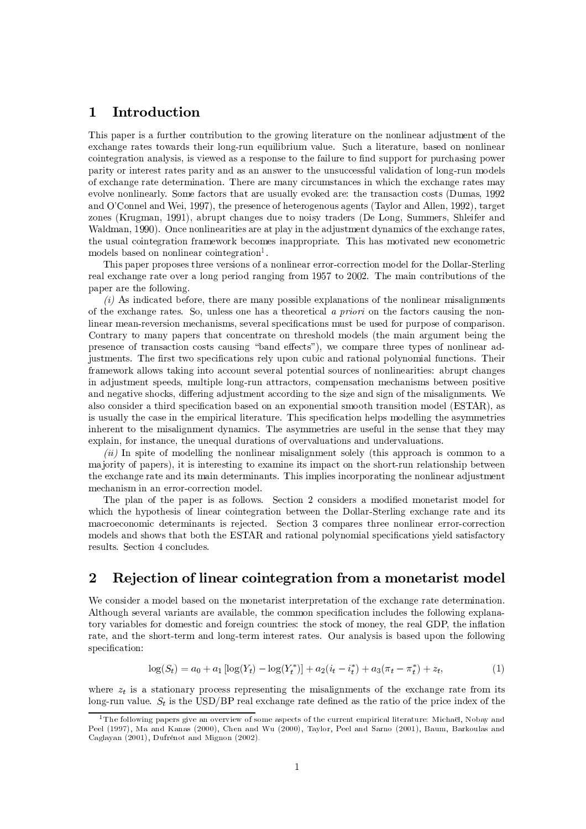## $\mathbf{1}$ Introduction

This paper is a further contribution to the growing literature on the nonlinear adjustment of the exchange rates towards their long-run equilibrium value. Such a literature, based on nonlinear cointegration analysis, is viewed as a response to the failure to find support for purchasing power parity or interest rates parity and as an answer to the unsuccessful validation of long-run models of exchange rate determination. There are many circumstances in which the exchange rates may evolve nonlinearly. Some factors that are usually evoked are: the transaction costs (Dumas, 1992) and O'Connel and Wei, 1997), the presence of heterogenous agents (Taylor and Allen, 1992), target zones (Krugman, 1991), abrupt changes due to noisy traders (De Long, Summers, Shleifer and Waldman, 1990). Once nonlinearities are at play in the adjustment dynamics of the exchange rates, the usual cointegration framework becomes inappropriate. This has motivated new econometric models based on nonlinear cointegration<sup>1</sup>.

This paper proposes three versions of a nonlinear error-correction model for the Dollar-Sterling real exchange rate over a long period ranging from 1957 to 2002. The main contributions of the paper are the following.

 $(i)$  As indicated before, there are many possible explanations of the nonlinear misalignments of the exchange rates. So, unless one has a theoretical a priori on the factors causing the nonlinear mean-reversion mechanisms, several specifications must be used for purpose of comparison. Contrary to many papers that concentrate on threshold models (the main argument being the presence of transaction costs causing "band effects"), we compare three types of nonlinear adjustments. The first two specifications rely upon cubic and rational polynomial functions. Their framework allows taking into account several potential sources of nonlinearities: abrupt changes in adjustment speeds, multiple long-run attractors, compensation mechanisms between positive and negative shocks, differing adjustment according to the size and sign of the misalignments. We also consider a third specification based on an exponential smooth transition model (ESTAR), as is usually the case in the empirical literature. This specification helps modelling the asymmetries inherent to the misalignment dynamics. The asymmetries are useful in the sense that they may explain, for instance, the unequal durations of overvaluations and undervaluations.

(ii) In spite of modelling the nonlinear misalignment solely (this approach is common to a majority of papers), it is interesting to examine its impact on the short-run relationship between the exchange rate and its main determinants. This implies incorporating the nonlinear adjustment mechanism in an error-correction model.

The plan of the paper is as follows. Section 2 considers a modified monetarist model for which the hypothesis of linear cointegration between the Dollar-Sterling exchange rate and its macroeconomic determinants is rejected. Section 3 compares three nonlinear error-correction models and shows that both the ESTAR and rational polynomial specifications yield satisfactory results. Section 4 concludes.

## $\overline{2}$ Rejection of linear cointegration from a monetarist model

We consider a model based on the monetarist interpretation of the exchange rate determination. Although several variants are available, the common specification includes the following explanatory variables for domestic and foreign countries: the stock of money, the real GDP, the inflation rate, and the short-term and long-term interest rates. Our analysis is based upon the following specification:

$$
\log(S_t) = a_0 + a_1 \left[ \log(Y_t) - \log(Y_t^*) \right] + a_2 \left( i_t - i_t^* \right) + a_3 \left( \pi_t - \pi_t^* \right) + z_t,\tag{1}
$$

where  $z_t$  is a stationary process representing the misalignments of the exchange rate from its long-run value.  $S_t$  is the USD/BP real exchange rate defined as the ratio of the price index of the

<sup>&</sup>lt;sup>1</sup>The following papers give an overview of some aspects of the current empirical literature: Michaël, Nobay and Peel (1997), Ma and Kanas (2000), Chen and Wu (2000), Taylor, Peel and Sarno (2001), Baum, Barkoulas and Caglayan (2001), Dufrénot and Mignon (2002).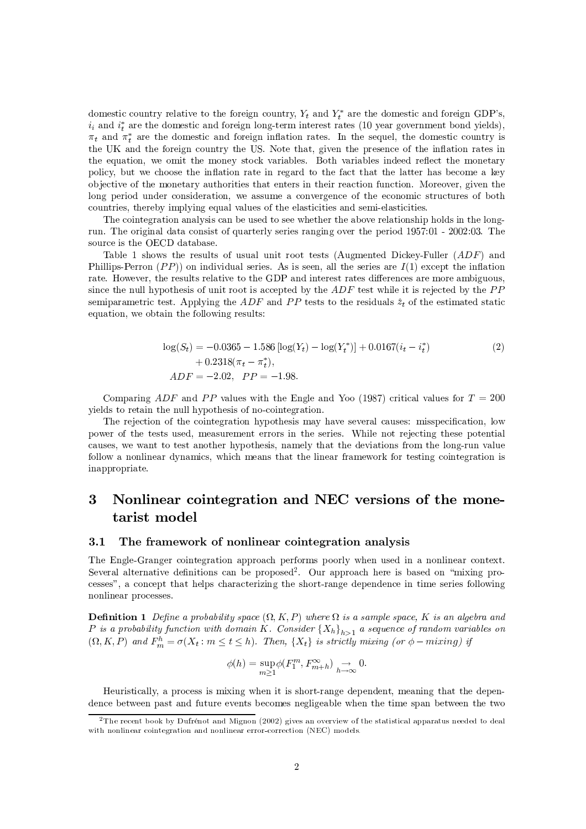domestic country relative to the foreign country,  $Y_t$  and  $Y_t^*$  are the domestic and foreign GDP's,  $i_i$  and  $i_t^*$  are the domestic and foreign long-term interest rates (10 year government bond yields),  $\pi_t$  and  $\pi_t^*$  are the domestic and foreign inflation rates. In the sequel, the domestic country is the UK and the foreign country the US. Note that, given the presence of the inflation rates in the equation, we omit the money stock variables. Both variables indeed reflect the monetary policy, but we choose the inflation rate in regard to the fact that the latter has become a key objective of the monetary authorities that enters in their reaction function. Moreover, given the long period under consideration, we assume a convergence of the economic structures of both countries, thereby implying equal values of the elasticities and semi-elasticities.

The cointegration analysis can be used to see whether the above relationship holds in the longrun. The original data consist of quarterly series ranging over the period 1957:01 - 2002:03. The source is the OECD database.

Table 1 shows the results of usual unit root tests (Augmented Dickey-Fuller  $(ADF)$  and Phillips-Perron  $(PP)$  on individual series. As is seen, all the series are  $I(1)$  except the inflation rate. However, the results relative to the GDP and interest rates differences are more ambiguous, since the null hypothesis of unit root is accepted by the  $ADF$  test while it is rejected by the  $PP$ semiparametric test. Applying the ADF and PP tests to the residuals  $\hat{z}_t$  of the estimated static equation, we obtain the following results:

$$
\log(S_t) = -0.0365 - 1.586 [\log(Y_t) - \log(Y_t^*)] + 0.0167(i_t - i_t^*)
$$
  
+ 0.2318(\pi\_t - \pi\_t^\*),  
ADF = -2.02, PP = -1.98. (2)

Comparing ADF and PP values with the Engle and Yoo (1987) critical values for  $T = 200$ yields to retain the null hypothesis of no-cointegration.

The rejection of the cointegration hypothesis may have several causes: misspecification, low power of the tests used, measurement errors in the series. While not rejecting these potential causes, we want to test another hypothesis, namely that the deviations from the long-run value follow a nonlinear dynamics, which means that the linear framework for testing cointegration is inappropriate.

## 3 Nonlinear cointegration and NEC versions of the monetarist model

#### $3.1$ The framework of nonlinear cointegration analysis

The Engle-Granger cointegration approach performs poorly when used in a nonlinear context. Several alternative definitions can be proposed<sup>2</sup>. Our approach here is based on "mixing processes", a concept that helps characterizing the short-range dependence in time series following nonlinear processes.

**Definition 1** Define a probability space  $(\Omega, K, P)$  where  $\Omega$  is a sample space, K is an algebra and P is a probability function with domain K. Consider  ${X_h}_{h>1}$  a sequence of random variables on  $(\Omega, K, P)$  and  $F_m^h = \sigma(X_t : m \le t \le h)$ . Then,  $\{X_t\}$  is strictly mixing (or  $\phi$  – mixing) if

$$
\phi(h) = \sup_{m \ge 1} \phi(F_1^m, F_{m+h}^{\infty}) \underset{h \to \infty}{\to} 0.
$$

Heuristically, a process is mixing when it is short-range dependent, meaning that the dependence between past and future events becomes negligeable when the time span between the two

<sup>&</sup>lt;sup>2</sup>The recent book by Dufrénot and Mignon (2002) gives an overview of the statistical apparatus needed to deal with nonlinear cointegration and nonlinear error-correction (NEC) models.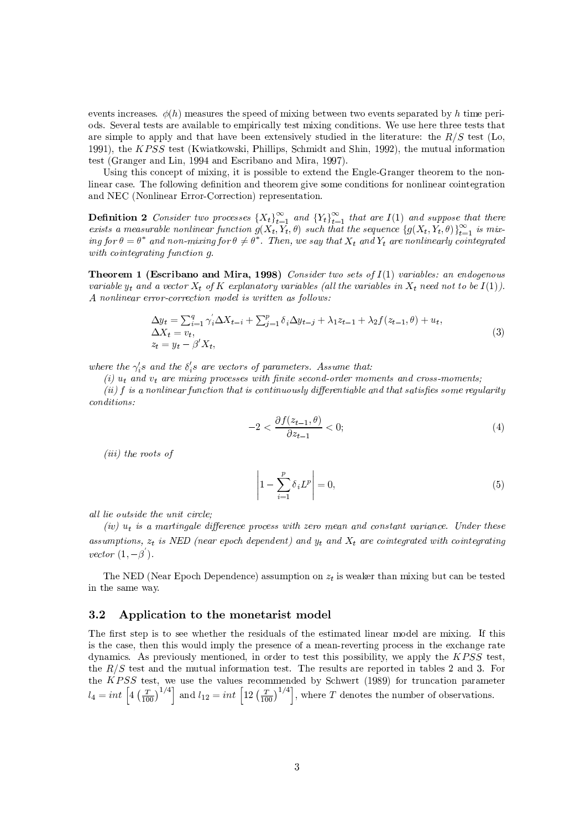events increases.  $\phi(h)$  measures the speed of mixing between two events separated by h time periods. Several tests are available to empirically test mixing conditions. We use here three tests that are simple to apply and that have been extensively studied in the literature: the  $R/S$  test (Lo, 1991), the KPSS test (Kwiatkowski, Phillips, Schmidt and Shin, 1992), the mutual information test (Granger and Lin, 1994 and Escribano and Mira, 1997).

Using this concept of mixing, it is possible to extend the Engle-Granger theorem to the nonlinear case. The following definition and theorem give some conditions for nonlinear cointegration and NEC (Nonlinear Error-Correction) representation.

**Definition 2** Consider two processes  $\{X_t\}_{t=1}^{\infty}$  and  $\{Y_t\}_{t=1}^{\infty}$  that are  $I(1)$  and suppose that there exists a measurable nonlinear function  $g(X_t, Y_t, \theta)$  such that the sequence  $\{g(X_t, Y_t, \theta)\}_{t=1}^{\infty}$  is mix-<br>ing for  $\theta = \theta^*$  and non-mixing for  $\theta \neq \theta^*$ . Then, we say that  $X_t$  and  $Y_t$  are nonlinearly cointegrated with cointegrating function  $q$ .

**Theorem 1 (Escribano and Mira, 1998)** Consider two sets of  $I(1)$  variables: an endogenous variable  $y_t$  and a vector  $X_t$  of K explanatory variables (all the variables in  $X_t$  need not to be  $I(1)$ ). A nonlinear error-correction model is written as follows:

$$
\Delta y_t = \sum_{i=1}^q \gamma_i' \Delta X_{t-i} + \sum_{j=1}^p \delta_i \Delta y_{t-j} + \lambda_1 z_{t-1} + \lambda_2 f(z_{t-1}, \theta) + u_t, \n\Delta X_t = v_t, \nz_t = y_t - \beta' X_t,
$$
\n(3)

where the  $\gamma_i$ 's and the  $\delta_i$ 's are vectors of parameters. Assume that:

(i)  $u_t$  and  $v_t$  are mixing processes with finite second-order moments and cross-moments;

(ii)  $f$  is a nonlinear function that is continuously differentiable and that satisfies some regularity  $conditions:$ 

$$
-2 < \frac{\partial f(z_{t-1}, \theta)}{\partial z_{t-1}} < 0; \tag{4}
$$

 $(iii)$  the roots of

$$
\left|1 - \sum_{i=1}^{p} \delta_i L^p\right| = 0,\tag{5}
$$

all lie outside the unit circle:

(iv)  $u_t$  is a martingale difference process with zero mean and constant variance. Under these assumptions,  $z_t$  is NED (near epoch dependent) and  $y_t$  and  $X_t$  are cointegrated with cointegrating vector  $(1, -\beta^{'})$ .

The NED (Near Epoch Dependence) assumption on  $z_t$  is weaker than mixing but can be tested in the same way.

### $3.2$ Application to the monetarist model

The first step is to see whether the residuals of the estimated linear model are mixing. If this is the case, then this would imply the presence of a mean-reverting process in the exchange rate dynamics. As previously mentioned, in order to test this possibility, we apply the  $KPSS$  test, the  $R/S$  test and the mutual information test. The results are reported in tables 2 and 3. For the KPSS test, we use the values recommended by Schwert (1989) for truncation parameter  $l_4 = int \left[ 4 \left( \frac{T}{100} \right)^{1/4} \right]$  and  $l_{12} = int \left[ 12 \left( \frac{T}{100} \right)^{1/4} \right]$ , where T denotes the number of observations.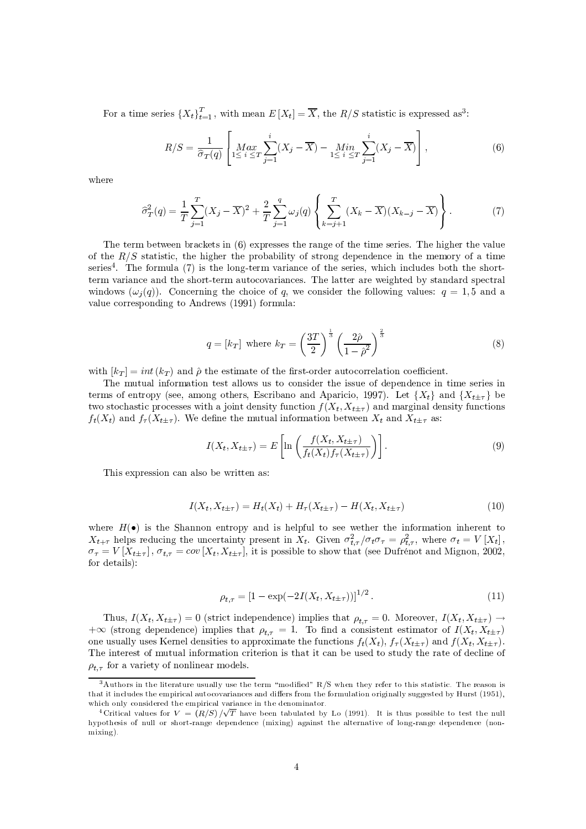For a time series  $\{X_t\}_{t=1}^T$ , with mean  $E[X_t] = \overline{X}$ , the  $R/S$  statistic is expressed as<sup>3</sup>:

$$
R/S = \frac{1}{\hat{\sigma}_T(q)} \left[ \underset{1 \leq i \leq T}{Max} \sum_{j=1}^i (X_j - \overline{X}) - \underset{1 \leq i \leq T}{Min} \sum_{j=1}^i (X_j - \overline{X}) \right],
$$
(6)

where

$$
\hat{\sigma}_T^2(q) = \frac{1}{T} \sum_{j=1}^T (X_j - \overline{X})^2 + \frac{2}{T} \sum_{j=1}^q \omega_j(q) \left\{ \sum_{k=j+1}^T (X_k - \overline{X})(X_{k-j} - \overline{X}) \right\}.
$$
 (7)

The term between brackets in  $(6)$  expresses the range of the time series. The higher the value of the  $R/S$  statistic, the higher the probability of strong dependence in the memory of a time series<sup>4</sup>. The formula (7) is the long-term variance of the series, which includes both the shortterm variance and the short-term autocovariances. The latter are weighted by standard spectral windows  $(\omega_i(q))$ . Concerning the choice of q, we consider the following values:  $q = 1, 5$  and a value corresponding to Andrews (1991) formula:

$$
q = [k_T] \text{ where } k_T = \left(\frac{3T}{2}\right)^{\frac{1}{3}} \left(\frac{2\hat{\rho}}{1-\hat{\rho}^2}\right)^{\frac{2}{3}} \tag{8}
$$

with  $|k_T| = int (k_T)$  and  $\hat{\rho}$  the estimate of the first-order autocorrelation coefficient.

The mutual information test allows us to consider the issue of dependence in time series in terms of entropy (see, among others, Escribano and Aparicio, 1997). Let  $\{X_t\}$  and  $\{X_{t+\tau}\}$  be two stochastic processes with a joint density function  $f(X_t, X_{t+\tau})$  and marginal density functions  $f_t(X_t)$  and  $f_{\tau}(X_{t\pm\tau})$ . We define the mutual information between  $X_t$  and  $X_{t\pm\tau}$  as:

$$
I(X_t, X_{t\pm\tau}) = E\left[\ln\left(\frac{f(X_t, X_{t\pm\tau})}{f_t(X_t)f_\tau(X_{t\pm\tau})}\right)\right].
$$
\n(9)

This expression can also be written as:

$$
I(X_t, X_{t\pm\tau}) = H_t(X_t) + H_\tau(X_{t\pm\tau}) - H(X_t, X_{t\pm\tau})
$$
\n(10)

where  $H(\bullet)$  is the Shannon entropy and is helpful to see wether the information inherent to  $X_{t+\tau}$  helps reducing the uncertainty present in  $X_t$ . Given  $\sigma_{t,\tau}^2/\sigma_t\sigma_{\tau} = \rho_{t,\tau}^2$ , where  $\sigma_t = V[X_t]$ ,  $\sigma_{\tau} = V[X_{t\pm\tau}]$ ,  $\sigma_{t,\tau} = cov[X_t, X_{t\pm\tau}]$ , it is possible to show that (see Dufrénot and Mignon, 2002, for details):

$$
\rho_{t,\tau} = \left[1 - \exp(-2I(X_t, X_{t+\tau}))\right]^{1/2}.\tag{11}
$$

Thus,  $I(X_t, X_{t+\tau}) = 0$  (strict independence) implies that  $\rho_{t,\tau} = 0$ . Moreover,  $I(X_t, X_{t+\tau}) \to$  $+\infty$  (strong dependence) implies that  $\rho_{t,\tau} = 1$ . To find a consistent estimator of  $I(X_t, X_{t+\tau})$ one usually uses Kernel densities to approximate the functions  $f_t(X_t)$ ,  $f_\tau(X_{t\pm\tau})$  and  $f(X_t, X_{t\pm\tau})$ . The interest of mutual information criterion is that it can be used to study the rate of decline of  $\rho_{t,\tau}$  for a variety of nonlinear models.

<sup>&</sup>lt;sup>3</sup>Authors in the literature usually use the term "modified" R/S when they refer to this statistic. The reason is that it includes the empirical autocovariances and differs from the formulation originally suggested by Hurst (1951), which only considered the empirical variance in the denominator.

<sup>&</sup>lt;sup>4</sup>Critical values for  $V = (R/S)/\sqrt{T}$  have been tabulated by Lo (1991). It is thus possible to test the null hypothesis of null or short-range dependence (mixing) against the alternative of long-range dependence (non $mixine$ ).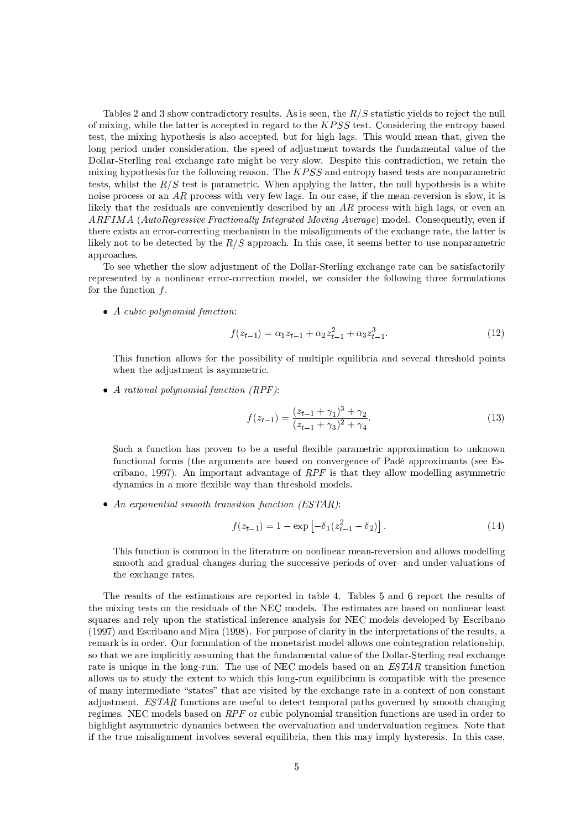Tables 2 and 3 show contradictory results. As is seen, the  $R/S$  statistic yields to reject the null of mixing, while the latter is accepted in regard to the  $KPSS$  test. Considering the entropy based test, the mixing hypothesis is also accepted, but for high lags. This would mean that, given the long period under consideration, the speed of adjustment towards the fundamental value of the Dollar-Sterling real exchange rate might be very slow. Despite this contradiction, we retain the mixing hypothesis for the following reason. The  $KPSS$  and entropy based tests are nonparametric tests, whilst the  $R/S$  test is parametric. When applying the latter, the null hypothesis is a white noise process or an AR process with very few lags. In our case, if the mean-reversion is slow, it is likely that the residuals are conveniently described by an  $AR$  process with high lags, or even an ARFIMA (AutoRegressive Fractionally Integrated Moving Average) model. Consequently, even if there exists an error-correcting mechanism in the misalignments of the exchange rate, the latter is likely not to be detected by the  $R/S$  approach. In this case, it seems better to use nonparametric approaches.

To see whether the slow adjustment of the Dollar-Sterling exchange rate can be satisfactorily represented by a nonlinear error-correction model, we consider the following three formulations for the function  $f$ .

 $\bullet$  A cubic polynomial function:

$$
f(z_{t-1}) = \alpha_1 z_{t-1} + \alpha_2 z_{t-1}^2 + \alpha_3 z_{t-1}^3. \tag{12}
$$

This function allows for the possibility of multiple equilibria and several threshold points when the adjustment is asymmetric.

• A rational polynomial function  $(RPF)$ :

$$
f(z_{t-1}) = \frac{(z_{t-1} + \gamma_1)^3 + \gamma_2}{(z_{t-1} + \gamma_3)^2 + \gamma_4}.
$$
\n(13)

Such a function has proven to be a useful flexible parametric approximation to unknown functional forms (the arguments are based on convergence of Padé approximants (see Escribano, 1997). An important advantage of  $RPF$  is that they allow modelling asymmetric dynamics in a more flexible way than threshold models.

• An exponential smooth transition function  $(ESTAR)$ :

$$
f(z_{t-1}) = 1 - \exp\left[-\delta_1(z_{t-1}^2 - \delta_2)\right].\tag{14}
$$

This function is common in the literature on nonlinear mean-reversion and allows modelling smooth and gradual changes during the successive periods of over- and under-valuations of the exchange rates.

The results of the estimations are reported in table 4. Tables 5 and 6 report the results of the mixing tests on the residuals of the NEC models. The estimates are based on nonlinear least squares and rely upon the statistical inference analysis for NEC models developed by Escribano (1997) and Escribano and Mira (1998). For purpose of clarity in the interpretations of the results, a remark is in order. Our formulation of the monetarist model allows one cointegration relationship. so that we are implicitly assuming that the fundamental value of the Dollar-Sterling real exchange rate is unique in the long-run. The use of NEC models based on an ESTAR transition function allows us to study the extent to which this long-run equilibrium is compatible with the presence of many intermediate "states" that are visited by the exchange rate in a context of non constant adjustment.  $ESTAR$  functions are useful to detect temporal paths governed by smooth changing regimes. NEC models based on  $RPF$  or cubic polynomial transition functions are used in order to highlight asymmetric dynamics between the overvaluation and undervaluation regimes. Note that if the true misalignment involves several equilibria, then this may imply hysteresis. In this case,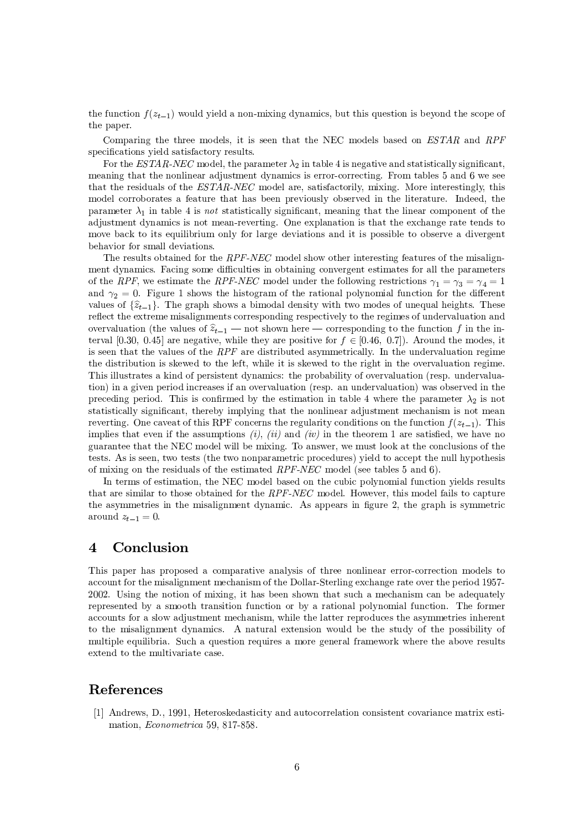the function  $f(z_{t-1})$  would yield a non-mixing dynamics, but this question is beyond the scope of the paper.

Comparing the three models, it is seen that the NEC models based on ESTAR and RPF specifications yield satisfactory results.

For the ESTAR-NEC model, the parameter  $\lambda_2$  in table 4 is negative and statistically significant, meaning that the nonlinear adjustment dynamics is error-correcting. From tables 5 and 6 we see that the residuals of the ESTAR-NEC model are, satisfactorily, mixing. More interestingly, this model corroborates a feature that has been previously observed in the literature. Indeed, the parameter  $\lambda_1$  in table 4 is not statistically significant, meaning that the linear component of the adjustment dynamics is not mean-reverting. One explanation is that the exchange rate tends to move back to its equilibrium only for large deviations and it is possible to observe a divergent behavior for small deviations.

The results obtained for the RPF-NEC model show other interesting features of the misalignment dynamics. Facing some difficulties in obtaining convergent estimates for all the parameters of the RPF, we estimate the RPF-NEC model under the following restrictions  $\gamma_1 = \gamma_3 = \gamma_4 = 1$ and  $\gamma_2 = 0$ . Figure 1 shows the histogram of the rational polynomial function for the different values of  $\{\hat{z}_{t-1}\}\.$  The graph shows a bimodal density with two modes of unequal heights. These reflect the extreme misalignments corresponding respectively to the regimes of undervaluation and overvaluation (the values of  $\hat{z}_{t-1}$  – not shown here – corresponding to the function f in the interval [0.30, 0.45] are negative, while they are positive for  $f \in [0.46, 0.7]$ . Around the modes, it is seen that the values of the  $RPF$  are distributed asymmetrically. In the undervaluation regime the distribution is skewed to the left, while it is skewed to the right in the overvaluation regime. This illustrates a kind of persistent dynamics: the probability of overvaluation (resp. undervaluation) in a given period increases if an overvaluation (resp. an undervaluation) was observed in the preceding period. This is confirmed by the estimation in table 4 where the parameter  $\lambda_2$  is not statistically significant, thereby implying that the nonlinear adjustment mechanism is not mean reverting. One caveat of this RPF concerns the regularity conditions on the function  $f(z_{t-1})$ . This implies that even if the assumptions (i), (ii) and (iv) in the theorem 1 are satisfied, we have no guarantee that the NEC model will be mixing. To answer, we must look at the conclusions of the tests. As is seen, two tests (the two nonparametric procedures) yield to accept the null hypothesis of mixing on the residuals of the estimated  $RPF\text{-}NEC$  model (see tables 5 and 6).

In terms of estimation, the NEC model based on the cubic polynomial function yields results that are similar to those obtained for the RPF-NEC model. However, this model fails to capture the asymmetries in the misalignment dynamic. As appears in figure 2, the graph is symmetric around  $z_{t-1}=0$ .

## $\boldsymbol{\Lambda}$ Conclusion

This paper has proposed a comparative analysis of three nonlinear error-correction models to account for the misalignment mechanism of the Dollar-Sterling exchange rate over the period 1957-2002. Using the notion of mixing, it has been shown that such a mechanism can be adequately represented by a smooth transition function or by a rational polynomial function. The former accounts for a slow adjustment mechanism, while the latter reproduces the asymmetries inherent to the misalignment dynamics. A natural extension would be the study of the possibility of multiple equilibria. Such a question requires a more general framework where the above results extend to the multivariate case.

## References

[1] Andrews, D., 1991, Heteroskedasticity and autocorrelation consistent covariance matrix estimation, Econometrica 59, 817-858.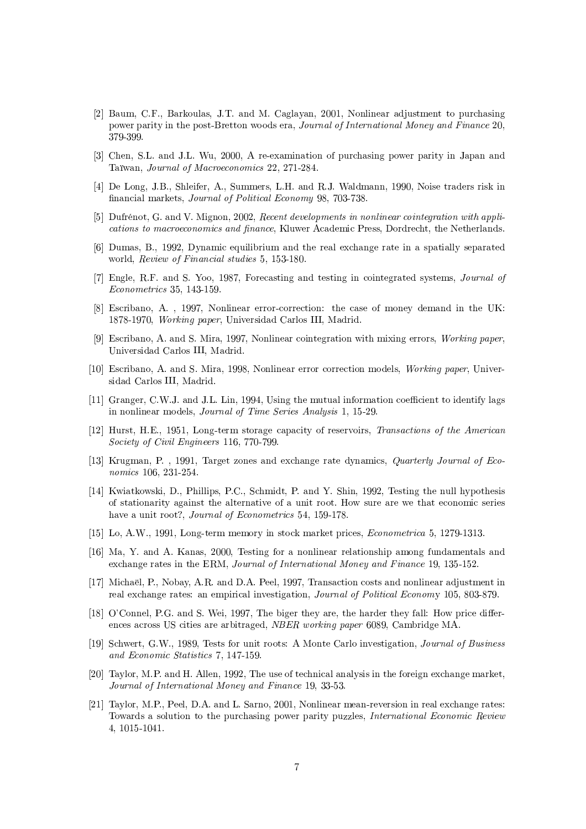- [2] Baum, C.F., Barkoulas, J.T. and M. Caglayan, 2001, Nonlinear adjustment to purchasing power parity in the post-Bretton woods era, Journal of International Money and Finance 20, 379-399
- [3] Chen, S.L. and J.L. Wu, 2000, A re-examination of purchasing power parity in Japan and Taïwan, Journal of Macroeconomics 22, 271-284.
- [4] De Long, J.B., Shleifer, A., Summers, L.H. and R.J. Waldmann, 1990, Noise traders risk in financial markets, Journal of Political Economy 98, 703-738.
- [5] Dufrénot, G. and V. Mignon, 2002, Recent developments in nonlinear cointegration with applications to macroeconomics and finance, Kluwer Academic Press, Dordrecht, the Netherlands.
- [6] Dumas, B., 1992, Dynamic equilibrium and the real exchange rate in a spatially separated world, Review of Financial studies 5, 153-180.
- [7] Engle, R.F. and S. Yoo, 1987, Forecasting and testing in cointegrated systems, Journal of Econometrics 35, 143-159.
- [8] Escribano, A., 1997, Nonlinear error-correction: the case of money demand in the UK: 1878-1970. Working paper, Universidad Carlos III, Madrid.
- [9] Escribano, A. and S. Mira, 1997, Nonlinear cointegration with mixing errors, Working paper, Universidad Carlos III, Madrid.
- [10] Escribano, A. and S. Mira, 1998, Nonlinear error correction models, *Working paper*, Universidad Carlos III, Madrid.
- [11] Granger, C.W.J. and J.L. Lin, 1994, Using the mutual information coefficient to identify lags in nonlinear models, Journal of Time Series Analysis 1, 15-29.
- [12] Hurst, H.E., 1951, Long-term storage capacity of reservoirs, Transactions of the American Society of Civil Engineers 116, 770-799.
- [13] Krugman, P., 1991, Target zones and exchange rate dynamics, Quarterly Journal of Economics 106, 231-254.
- [14] Kwiatkowski, D., Phillips, P.C., Schmidt, P. and Y. Shin, 1992, Testing the null hypothesis of stationarity against the alternative of a unit root. How sure are we that economic series have a unit root?, Journal of Econometrics 54, 159-178.
- [15] Lo, A.W., 1991, Long-term memory in stock market prices, *Econometrica* 5, 1279-1313.
- [16] Ma, Y. and A. Kanas, 2000, Testing for a nonlinear relationship among fundamentals and exchange rates in the ERM, Journal of International Money and Finance 19, 135-152.
- [17] Michaël, P., Nobay, A.R. and D.A. Peel, 1997, Transaction costs and nonlinear adjustment in real exchange rates: an empirical investigation, Journal of Political Economy 105, 803-879.
- [18] O'Connel, P.G. and S. Wei, 1997. The biger they are, the harder they fall: How price differences across US cities are arbitraged, NBER working paper 6089, Cambridge MA.
- [19] Schwert, G.W., 1989. Tests for unit roots: A Monte Carlo investigation, *Journal of Business* and Economic Statistics 7, 147-159.
- [20] Taylor, M.P. and H. Allen, 1992. The use of technical analysis in the foreign exchange market. Journal of International Money and Finance 19, 33-53.
- [21] Taylor, M.P., Peel, D.A. and L. Sarno, 2001, Nonlinear mean-reversion in real exchange rates: Towards a solution to the purchasing power parity puzzles, International Economic Review 4, 1015-1041.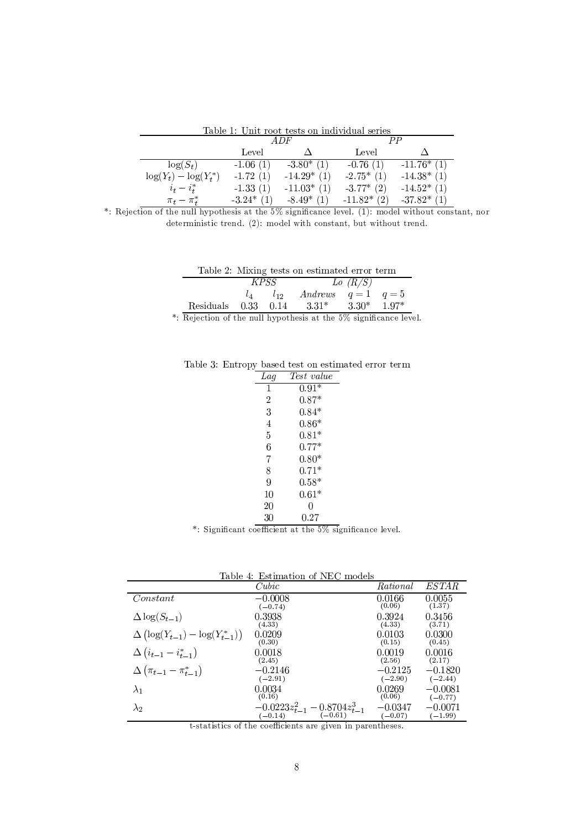Table 1: Unit root tests on individual series

|                           | A DF        |               | $_{\mu \nu}$  |               |
|---------------------------|-------------|---------------|---------------|---------------|
|                           | Level       |               | Level         |               |
| $\log(S_t)$               | $-1.06(1)$  | $-3.80^*$ (1) | $-0.76(1)$    | $-11.76*(1)$  |
| $\log(Y_t) - \log(Y_t^*)$ | $-1.72(1)$  | $-14.29*(1)$  | $-2.75*$ (1)  | $-14.38*$ (1) |
| $i_t - i_t^*$             | $-1.33(1)$  | $-11.03*$ (1) | $-3.77*$ (2)  | $-14.52*(1)$  |
| $\pi_t-\pi^*_t$           | $-3.24*(1)$ | $-8.49*(1)$   | $-11.82*$ (2) | $-37.82*$ (1) |

\*: Rejection of the null hypothesis at the 5% significance level. (1): model without constant, nor deterministic trend. (2): model with constant, but without trend.

| Table 2: Mixing tests on estimated error term |  |  |  |  |
|-----------------------------------------------|--|--|--|--|
|-----------------------------------------------|--|--|--|--|

|                         |             | Table 2. MIXIIIg tests on estimated error term |         |         |
|-------------------------|-------------|------------------------------------------------|---------|---------|
|                         | <i>KPSS</i> |                                                | Lo(R/S) |         |
|                         | $l_{12}$    | Andrews $q=1$ $q=5$                            |         |         |
| Residuals $0.33$ $0.14$ |             | $3.31*$                                        | $3.30*$ | $1.97*$ |

\*: Rejection of the null hypothesis at the 5% significance level.

Table 3: Entropy based test on estimated error term

| Lag | Test value |
|-----|------------|
| 1   | $0.91*$    |
| 2   | $0.87*$    |
| 3   | $0.84*$    |
| 4   | $0.86*$    |
| 5   | $0.81*$    |
| 6   | $0.77*$    |
| 7   | $0.80*$    |
| 8   | $0.71*$    |
| 9   | $0.58*$    |
| 10  | $0.61*$    |
| 20  | O          |
| 30  | $0.27\,$   |

\*: Significant coefficient at the  $5\%$  significance level.

| Table 4: Estimation of NEC models |  |  |  |  |
|-----------------------------------|--|--|--|--|
|-----------------------------------|--|--|--|--|

| таріе<br>4: Estimation of NEU models       |                                                   |           |           |  |  |
|--------------------------------------------|---------------------------------------------------|-----------|-----------|--|--|
|                                            | Cubic                                             | Rational  | ESTAR     |  |  |
| Constant                                   | $-0.0008$                                         | 0.0166    | 0.0055    |  |  |
|                                            | $(-0.74)$                                         | (0.06)    | (1.37)    |  |  |
| $\Delta \log(S_{t-1})$                     | 0.3938                                            | 0.3924    | 0.3456    |  |  |
|                                            | (4.33)                                            | (4.33)    | (3.71)    |  |  |
| $\Delta (\log(Y_{t-1}) - \log(Y_{t-1}^*))$ | 0.0209                                            | 0.0103    | 0.0300    |  |  |
|                                            | (0.30)                                            | (0.15)    | (0.45)    |  |  |
| $\Delta (i_{t-1} - i_{t-1}^*)$             | 0.0018                                            | 0.0019    | 0.0016    |  |  |
|                                            | (2.45)                                            | (2.56)    | (2.17)    |  |  |
| $\Delta\left(\pi_{t-1}-\pi^*_{t-1}\right)$ | $-0.2146$                                         | $-0.2125$ | $-0.1820$ |  |  |
|                                            | $(-2.91)$                                         | $(-2.90)$ | $(-2.44)$ |  |  |
| $\lambda_1$                                | 0.0034                                            | 0.0269    | $-0.0081$ |  |  |
|                                            | (0.16)                                            | (0.06)    | $(-0.77)$ |  |  |
| $\lambda_2$                                | $-0.0223z_{t-1}^2 - 0.8704z_{t-1}^3$<br>$(-0.14)$ | $-0.0347$ | $-0.0071$ |  |  |
|                                            | $(-0.14)$                                         | $(-0.07)$ | $(-1.99)$ |  |  |

t-statistics of the coefficients are given in parentheses.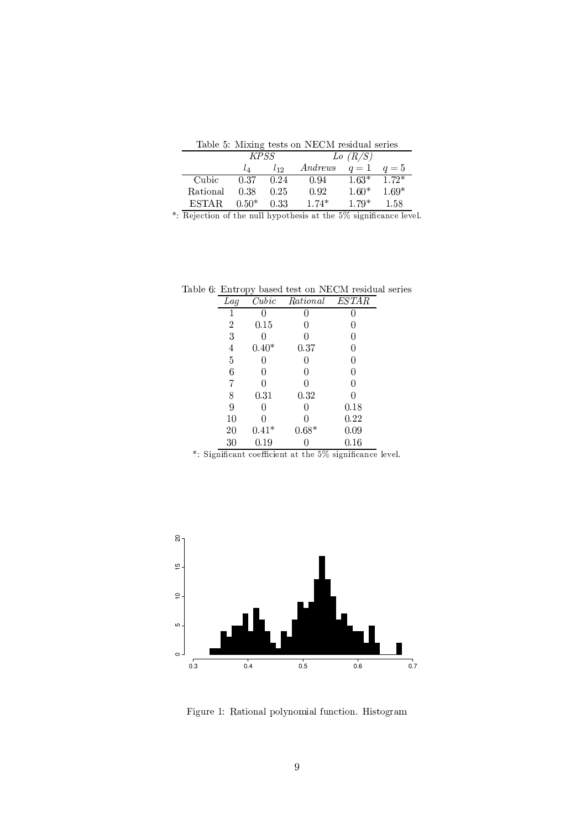|          |             |          | Table 5: Mixing tests on NECM residual series |         |         |
|----------|-------------|----------|-----------------------------------------------|---------|---------|
|          | <i>KPSS</i> |          |                                               | Lo(R/S) |         |
|          | Lл          | $l_{12}$ | Andrews                                       | $q=1$   | $q=5$   |
| Cubic    | 0.37        | 0.24     | 0.94                                          | $1.63*$ | $1.72*$ |
| Rational | 0.38        | 0.25     | 0.92                                          | $1.60*$ | $1.69*$ |
| ESTA R   | $0.50*$     | 0.33     | $1.74*$                                       | $1.79*$ | 1.58    |

\*: Rejection of the null hypothesis at the 5% significance level.

Table 6: Entropy based test on NECM residual series

| Lag    | Cubic      | Rational | <b>ESTAR</b> |
|--------|------------|----------|--------------|
| 1      |            | 0        |              |
| 2      | $\rm 0.15$ | 0        |              |
| 3      |            | 0        |              |
| 4      | $0.40*$    | 0.37     |              |
| 5      |            | 0        | 0            |
| 6      |            | 0        | 0            |
| 7      |            | 0        |              |
| 8      | 0.31       | 0.32     |              |
| 9      |            | 0        | 0.18         |
| $10\,$ |            | 0        | $0.22\,$     |
| 20     | $0.41*$    | $0.68*$  | 0.09         |
| 30     | 0.19       |          | $\rm 0.16$   |

\*: Significant coefficient at the 5% significance level.



Figure 1: Rational polynomial function. Histogram